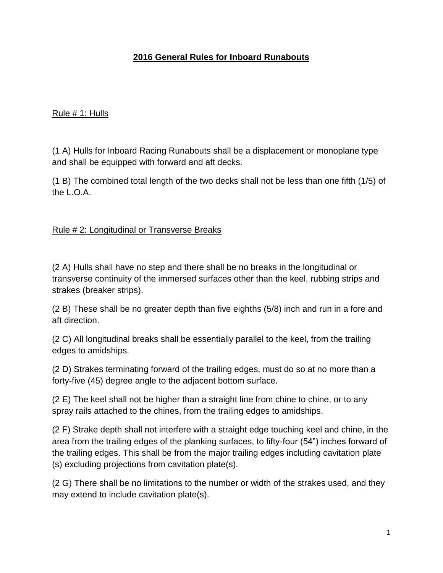### **2016 General Rules for Inboard Runabouts**

### Rule # 1: Hulls

(1 A) Hulls for Inboard Racing Runabouts shall be a displacement or monoplane type and shall be equipped with forward and aft decks.

(1 B) The combined total length of the two decks shall not be less than one fifth (1/5) of the L.O.A.

### Rule # 2: Longitudinal or Transverse Breaks

(2 A) Hulls shall have no step and there shall be no breaks in the longitudinal or transverse continuity of the immersed surfaces other than the keel, rubbing strips and strakes (breaker strips).

(2 B) These shall be no greater depth than five eighths (5/8) inch and run in a fore and aft direction.

(2 C) All longitudinal breaks shall be essentially parallel to the keel, from the trailing edges to amidships.

(2 D) Strakes terminating forward of the trailing edges, must do so at no more than a forty-five (45) degree angle to the adjacent bottom surface.

(2 E) The keel shall not be higher than a straight line from chine to chine, or to any spray rails attached to the chines, from the trailing edges to amidships.

(2 F) Strake depth shall not interfere with a straight edge touching keel and chine, in the area from the trailing edges of the planking surfaces, to fifty-four (54") inches forward of the trailing edges. This shall be from the major trailing edges including cavitation plate (s) excluding projections from cavitation plate(s).

(2 G) There shall be no limitations to the number or width of the strakes used, and they may extend to include cavitation plate(s).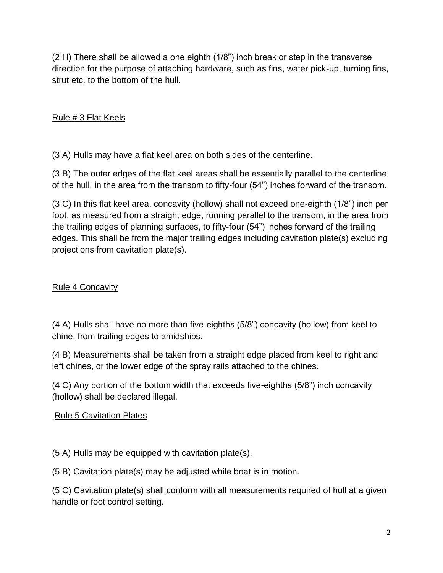(2 H) There shall be allowed a one eighth (1/8") inch break or step in the transverse direction for the purpose of attaching hardware, such as fins, water pick-up, turning fins, strut etc. to the bottom of the hull.

### Rule # 3 Flat Keels

(3 A) Hulls may have a flat keel area on both sides of the centerline.

(3 B) The outer edges of the flat keel areas shall be essentially parallel to the centerline of the hull, in the area from the transom to fifty-four (54") inches forward of the transom.

(3 C) In this flat keel area, concavity (hollow) shall not exceed one-eighth (1/8") inch per foot, as measured from a straight edge, running parallel to the transom, in the area from the trailing edges of planning surfaces, to fifty-four (54") inches forward of the trailing edges. This shall be from the major trailing edges including cavitation plate(s) excluding projections from cavitation plate(s).

### Rule 4 Concavity

(4 A) Hulls shall have no more than five-eighths (5/8") concavity (hollow) from keel to chine, from trailing edges to amidships.

(4 B) Measurements shall be taken from a straight edge placed from keel to right and left chines, or the lower edge of the spray rails attached to the chines.

(4 C) Any portion of the bottom width that exceeds five-eighths (5/8") inch concavity (hollow) shall be declared illegal.

### Rule 5 Cavitation Plates

(5 A) Hulls may be equipped with cavitation plate(s).

(5 B) Cavitation plate(s) may be adjusted while boat is in motion.

(5 C) Cavitation plate(s) shall conform with all measurements required of hull at a given handle or foot control setting.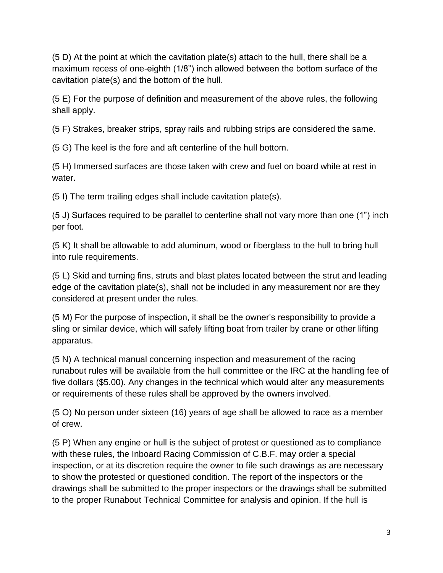(5 D) At the point at which the cavitation plate(s) attach to the hull, there shall be a maximum recess of one-eighth (1/8") inch allowed between the bottom surface of the cavitation plate(s) and the bottom of the hull.

(5 E) For the purpose of definition and measurement of the above rules, the following shall apply.

(5 F) Strakes, breaker strips, spray rails and rubbing strips are considered the same.

(5 G) The keel is the fore and aft centerline of the hull bottom.

(5 H) Immersed surfaces are those taken with crew and fuel on board while at rest in water.

(5 I) The term trailing edges shall include cavitation plate(s).

(5 J) Surfaces required to be parallel to centerline shall not vary more than one (1") inch per foot.

(5 K) It shall be allowable to add aluminum, wood or fiberglass to the hull to bring hull into rule requirements.

(5 L) Skid and turning fins, struts and blast plates located between the strut and leading edge of the cavitation plate(s), shall not be included in any measurement nor are they considered at present under the rules.

(5 M) For the purpose of inspection, it shall be the owner's responsibility to provide a sling or similar device, which will safely lifting boat from trailer by crane or other lifting apparatus.

(5 N) A technical manual concerning inspection and measurement of the racing runabout rules will be available from the hull committee or the IRC at the handling fee of five dollars (\$5.00). Any changes in the technical which would alter any measurements or requirements of these rules shall be approved by the owners involved.

(5 O) No person under sixteen (16) years of age shall be allowed to race as a member of crew.

(5 P) When any engine or hull is the subject of protest or questioned as to compliance with these rules, the Inboard Racing Commission of C.B.F. may order a special inspection, or at its discretion require the owner to file such drawings as are necessary to show the protested or questioned condition. The report of the inspectors or the drawings shall be submitted to the proper inspectors or the drawings shall be submitted to the proper Runabout Technical Committee for analysis and opinion. If the hull is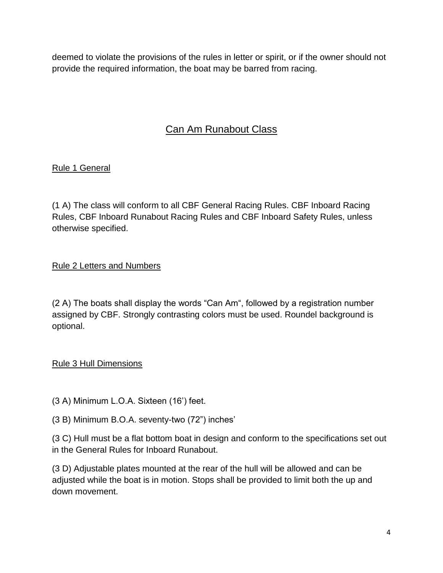deemed to violate the provisions of the rules in letter or spirit, or if the owner should not provide the required information, the boat may be barred from racing.

# Can Am Runabout Class

# Rule 1 General

(1 A) The class will conform to all CBF General Racing Rules. CBF Inboard Racing Rules, CBF Inboard Runabout Racing Rules and CBF Inboard Safety Rules, unless otherwise specified.

# Rule 2 Letters and Numbers

(2 A) The boats shall display the words "Can Am", followed by a registration number assigned by CBF. Strongly contrasting colors must be used. Roundel background is optional.

# Rule 3 Hull Dimensions

- (3 A) Minimum L.O.A. Sixteen (16') feet.
- (3 B) Minimum B.O.A. seventy-two (72") inches'

(3 C) Hull must be a flat bottom boat in design and conform to the specifications set out in the General Rules for Inboard Runabout.

(3 D) Adjustable plates mounted at the rear of the hull will be allowed and can be adjusted while the boat is in motion. Stops shall be provided to limit both the up and down movement.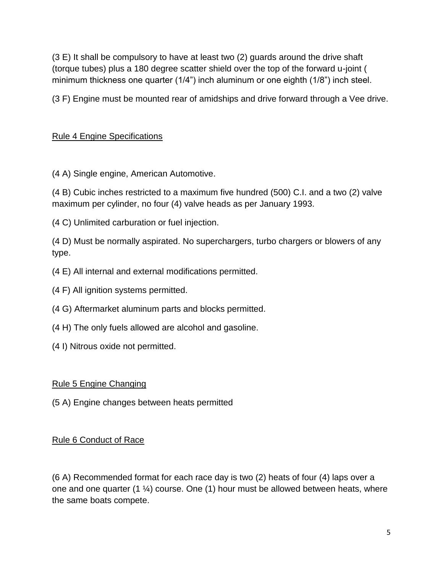(3 E) It shall be compulsory to have at least two (2) guards around the drive shaft (torque tubes) plus a 180 degree scatter shield over the top of the forward u-joint ( minimum thickness one quarter (1/4") inch aluminum or one eighth (1/8") inch steel.

(3 F) Engine must be mounted rear of amidships and drive forward through a Vee drive.

# Rule 4 Engine Specifications

(4 A) Single engine, American Automotive.

(4 B) Cubic inches restricted to a maximum five hundred (500) C.I. and a two (2) valve maximum per cylinder, no four (4) valve heads as per January 1993.

(4 C) Unlimited carburation or fuel injection.

(4 D) Must be normally aspirated. No superchargers, turbo chargers or blowers of any type.

- (4 E) All internal and external modifications permitted.
- (4 F) All ignition systems permitted.
- (4 G) Aftermarket aluminum parts and blocks permitted.
- (4 H) The only fuels allowed are alcohol and gasoline.
- (4 I) Nitrous oxide not permitted.

### Rule 5 Engine Changing

(5 A) Engine changes between heats permitted

### Rule 6 Conduct of Race

(6 A) Recommended format for each race day is two (2) heats of four (4) laps over a one and one quarter  $(1 \frac{1}{4})$  course. One  $(1)$  hour must be allowed between heats, where the same boats compete.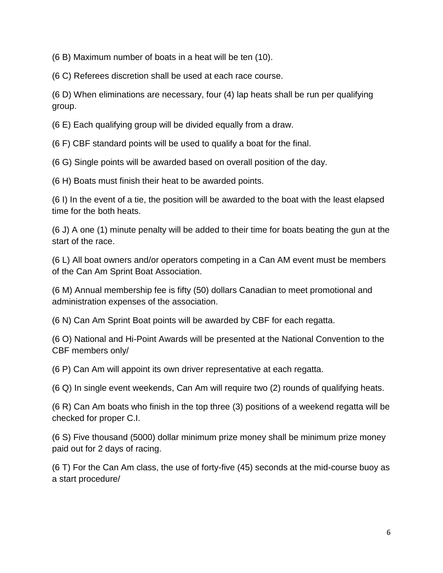(6 B) Maximum number of boats in a heat will be ten (10).

(6 C) Referees discretion shall be used at each race course.

(6 D) When eliminations are necessary, four (4) lap heats shall be run per qualifying group.

(6 E) Each qualifying group will be divided equally from a draw.

(6 F) CBF standard points will be used to qualify a boat for the final.

(6 G) Single points will be awarded based on overall position of the day.

(6 H) Boats must finish their heat to be awarded points.

(6 I) In the event of a tie, the position will be awarded to the boat with the least elapsed time for the both heats.

(6 J) A one (1) minute penalty will be added to their time for boats beating the gun at the start of the race.

(6 L) All boat owners and/or operators competing in a Can AM event must be members of the Can Am Sprint Boat Association.

(6 M) Annual membership fee is fifty (50) dollars Canadian to meet promotional and administration expenses of the association.

(6 N) Can Am Sprint Boat points will be awarded by CBF for each regatta.

(6 O) National and Hi-Point Awards will be presented at the National Convention to the CBF members only/

(6 P) Can Am will appoint its own driver representative at each regatta.

(6 Q) In single event weekends, Can Am will require two (2) rounds of qualifying heats.

(6 R) Can Am boats who finish in the top three (3) positions of a weekend regatta will be checked for proper C.I.

(6 S) Five thousand (5000) dollar minimum prize money shall be minimum prize money paid out for 2 days of racing.

(6 T) For the Can Am class, the use of forty-five (45) seconds at the mid-course buoy as a start procedure/